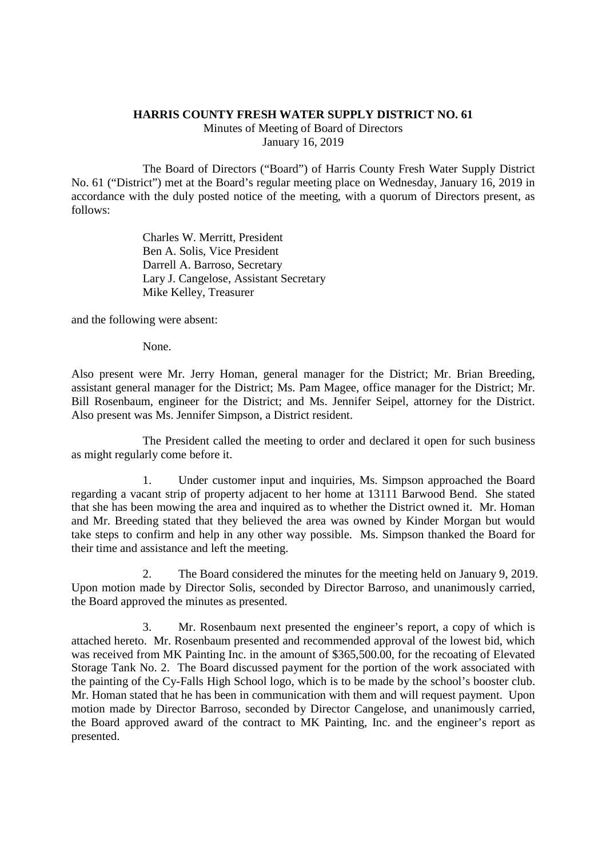## **HARRIS COUNTY FRESH WATER SUPPLY DISTRICT NO. 61**

Minutes of Meeting of Board of Directors January 16, 2019

The Board of Directors ("Board") of Harris County Fresh Water Supply District No. 61 ("District") met at the Board's regular meeting place on Wednesday, January 16, 2019 in accordance with the duly posted notice of the meeting, with a quorum of Directors present, as follows:

> Charles W. Merritt, President Ben A. Solis, Vice President Darrell A. Barroso, Secretary Lary J. Cangelose, Assistant Secretary Mike Kelley, Treasurer

and the following were absent:

None.

Also present were Mr. Jerry Homan, general manager for the District; Mr. Brian Breeding, assistant general manager for the District; Ms. Pam Magee, office manager for the District; Mr. Bill Rosenbaum, engineer for the District; and Ms. Jennifer Seipel, attorney for the District. Also present was Ms. Jennifer Simpson, a District resident.

The President called the meeting to order and declared it open for such business as might regularly come before it.

1. Under customer input and inquiries, Ms. Simpson approached the Board regarding a vacant strip of property adjacent to her home at 13111 Barwood Bend. She stated that she has been mowing the area and inquired as to whether the District owned it. Mr. Homan and Mr. Breeding stated that they believed the area was owned by Kinder Morgan but would take steps to confirm and help in any other way possible. Ms. Simpson thanked the Board for their time and assistance and left the meeting.

2. The Board considered the minutes for the meeting held on January 9, 2019. Upon motion made by Director Solis, seconded by Director Barroso, and unanimously carried, the Board approved the minutes as presented.

3. Mr. Rosenbaum next presented the engineer's report, a copy of which is attached hereto. Mr. Rosenbaum presented and recommended approval of the lowest bid, which was received from MK Painting Inc. in the amount of \$365,500.00, for the recoating of Elevated Storage Tank No. 2. The Board discussed payment for the portion of the work associated with the painting of the Cy-Falls High School logo, which is to be made by the school's booster club. Mr. Homan stated that he has been in communication with them and will request payment. Upon motion made by Director Barroso, seconded by Director Cangelose, and unanimously carried, the Board approved award of the contract to MK Painting, Inc. and the engineer's report as presented.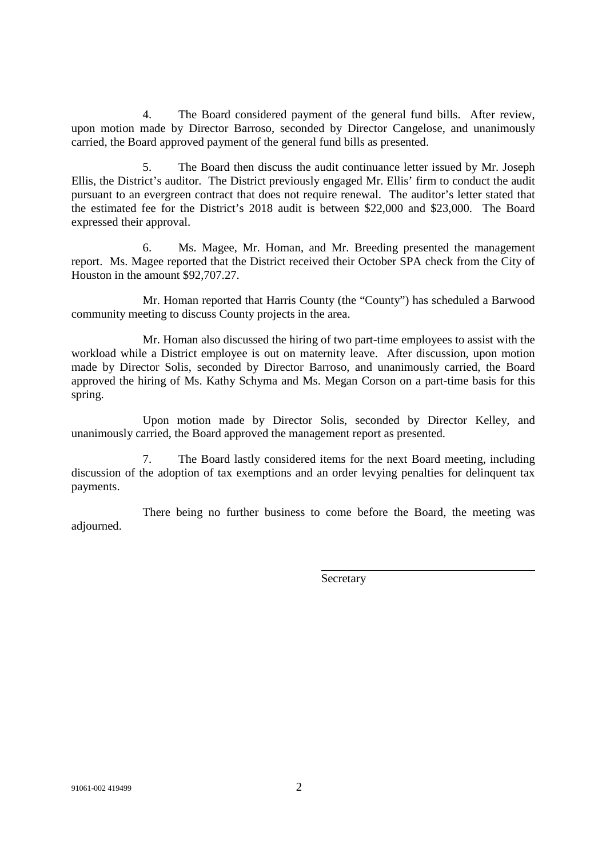4. The Board considered payment of the general fund bills. After review, upon motion made by Director Barroso, seconded by Director Cangelose, and unanimously carried, the Board approved payment of the general fund bills as presented.

5. The Board then discuss the audit continuance letter issued by Mr. Joseph Ellis, the District's auditor. The District previously engaged Mr. Ellis' firm to conduct the audit pursuant to an evergreen contract that does not require renewal. The auditor's letter stated that the estimated fee for the District's 2018 audit is between \$22,000 and \$23,000. The Board expressed their approval.

6. Ms. Magee, Mr. Homan, and Mr. Breeding presented the management report. Ms. Magee reported that the District received their October SPA check from the City of Houston in the amount \$92,707.27.

Mr. Homan reported that Harris County (the "County") has scheduled a Barwood community meeting to discuss County projects in the area.

Mr. Homan also discussed the hiring of two part-time employees to assist with the workload while a District employee is out on maternity leave. After discussion, upon motion made by Director Solis, seconded by Director Barroso, and unanimously carried, the Board approved the hiring of Ms. Kathy Schyma and Ms. Megan Corson on a part-time basis for this spring.

Upon motion made by Director Solis, seconded by Director Kelley, and unanimously carried, the Board approved the management report as presented.

7. The Board lastly considered items for the next Board meeting, including discussion of the adoption of tax exemptions and an order levying penalties for delinquent tax payments.

There being no further business to come before the Board, the meeting was adjourned.

**Secretary**